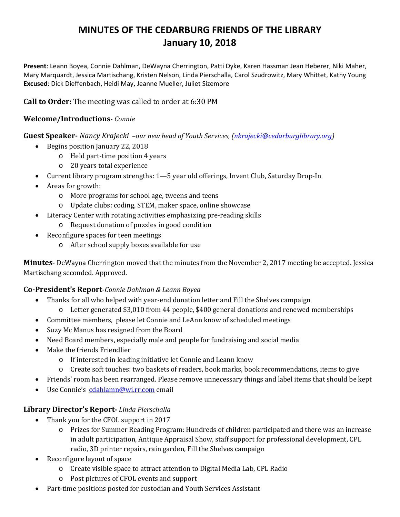# **MINUTES OF THE CEDARBURG FRIENDS OF THE LIBRARY January 10, 2018**

**Present**: Leann Boyea, Connie Dahlman, DeWayna Cherrington, Patti Dyke, Karen Hassman Jean Heberer, Niki Maher, Mary Marquardt, Jessica Martischang, Kristen Nelson, Linda Pierschalla, Carol Szudrowitz, Mary Whittet, Kathy Young **Excused**: Dick Dieffenbach, Heidi May, Jeanne Mueller, Juliet Sizemore

## **Call to Order:** The meeting was called to order at 6:30 PM

## **Welcome/Introductions-** *Connie*

**Guest Speaker-** *Nancy Krajecki –our new head of Youth Services, [\(nkrajecki@cedarburglibrary.org\)](mailto:nkrajecki@cedarburglibrary.org)*

- Begins position January 22, 2018
	- o Held part-time position 4 years
	- o 20 years total experience
- Current library program strengths: 1—5 year old offerings, Invent Club, Saturday Drop-In
- Areas for growth:
	- o More programs for school age, tweens and teens
	- o Update clubs: coding, STEM, maker space, online showcase
- Literacy Center with rotating activities emphasizing pre-reading skills
	- o Request donation of puzzles in good condition
- Reconfigure spaces for teen meetings
	- o After school supply boxes available for use

**Minutes**- DeWayna Cherrington moved that the minutes from the November 2, 2017 meeting be accepted. Jessica Martischang seconded. Approved.

## **Co-President's Report**-*Connie Dahlman & Leann Boyea*

- Thanks for all who helped with year-end donation letter and Fill the Shelves campaign
	- o Letter generated \$3,010 from 44 people, \$400 general donations and renewed memberships
- Committee members, please let Connie and LeAnn know of scheduled meetings
- Suzy Mc Manus has resigned from the Board
- Need Board members, especially male and people for fundraising and social media
- Make the friends Friendlier
	- o If interested in leading initiative let Connie and Leann know
	- o Create soft touches: two baskets of readers, book marks, book recommendations, items to give
- Friends' room has been rearranged. Please remove unnecessary things and label items that should be kept
- Use Connie's [cdahlamn@wi.rr.com](mailto:cdahlamn@wi.rr.com) email

## **Library Director's Report-** *Linda Pierschalla*

- Thank you for the CFOL support in 2017
	- o Prizes for Summer Reading Program: Hundreds of children participated and there was an increase in adult participation, Antique Appraisal Show, staff support for professional development, CPL radio, 3D printer repairs, rain garden, Fill the Shelves campaign
- Reconfigure layout of space
	- o Create visible space to attract attention to Digital Media Lab, CPL Radio
	- o Post pictures of CFOL events and support
- Part-time positions posted for custodian and Youth Services Assistant